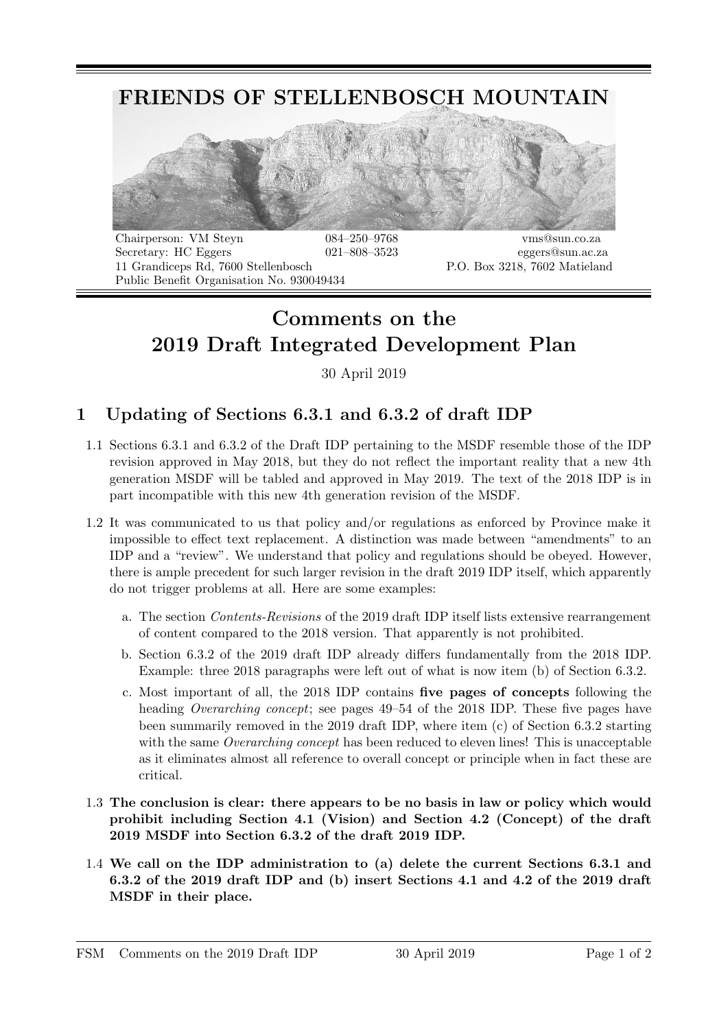

Secretary: HC Eggers 021–808–3523 eggers@sun.ac.za 11 Grandiceps Rd, 7600 Stellenbosch P.O. Box 3218, 7602 Matieland Public Benefit Organisation No. 930049434

## Comments on the 2019 Draft Integrated Development Plan

30 April 2019

## 1 Updating of Sections 6.3.1 and 6.3.2 of draft IDP

- 1.1 Sections 6.3.1 and 6.3.2 of the Draft IDP pertaining to the MSDF resemble those of the IDP revision approved in May 2018, but they do not reflect the important reality that a new 4th generation MSDF will be tabled and approved in May 2019. The text of the 2018 IDP is in part incompatible with this new 4th generation revision of the MSDF.
- 1.2 It was communicated to us that policy and/or regulations as enforced by Province make it impossible to effect text replacement. A distinction was made between "amendments" to an IDP and a "review". We understand that policy and regulations should be obeyed. However, there is ample precedent for such larger revision in the draft 2019 IDP itself, which apparently do not trigger problems at all. Here are some examples:
	- a. The section Contents-Revisions of the 2019 draft IDP itself lists extensive rearrangement of content compared to the 2018 version. That apparently is not prohibited.
	- b. Section 6.3.2 of the 2019 draft IDP already differs fundamentally from the 2018 IDP. Example: three 2018 paragraphs were left out of what is now item (b) of Section 6.3.2.
	- c. Most important of all, the 2018 IDP contains five pages of concepts following the heading Overarching concept; see pages 49–54 of the 2018 IDP. These five pages have been summarily removed in the 2019 draft IDP, where item (c) of Section 6.3.2 starting with the same *Overarching concept* has been reduced to eleven lines! This is unacceptable as it eliminates almost all reference to overall concept or principle when in fact these are critical.
- 1.3 The conclusion is clear: there appears to be no basis in law or policy which would prohibit including Section 4.1 (Vision) and Section 4.2 (Concept) of the draft 2019 MSDF into Section 6.3.2 of the draft 2019 IDP.
- 1.4 We call on the IDP administration to (a) delete the current Sections 6.3.1 and 6.3.2 of the 2019 draft IDP and (b) insert Sections 4.1 and 4.2 of the 2019 draft MSDF in their place.